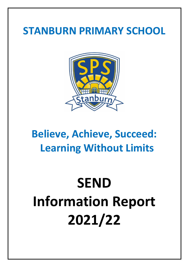# **STANBURN PRIMARY SCHOOL**



# **Believe, Achieve, Succeed: Learning Without Limits**

# **SEND Information Report 2021/22**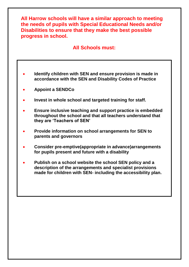**All Harrow schools will have a similar approach to meeting the needs of pupils with Special Educational Needs and/or Disabilities to ensure that they make the best possible progress in school.**

## **All Schools must:**

- **Identify children with SEN and ensure provision is made in accordance with the SEN and Disability Codes of Practice**
- **Appoint a SENDCo**
- **Invest in whole school and targeted training for staff.**
- **Ensure inclusive teaching and support practice is embedded throughout the school and that all teachers understand that they are 'Teachers of SEN'**
- **Provide information on school arrangements for SEN to parents and governors**
- **Consider pre-emptive(appropriate in advance)arrangements for pupils present and future with a disability**
- **Publish on a school website the school SEN policy and a description of the arrangements and specialist provisions made for children with SEN- including the accessibility plan.**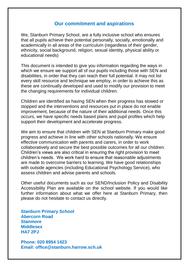### **Our commitment and aspirations**

We, Stanburn Primary School, are a fully inclusive school who ensures that all pupils achieve their potential personally, socially, emotionally and academically in all areas of the curriculum (regardless of their gender, ethnicity, social background, religion, sexual identity, physical ability or educational needs)

This document is intended to give you information regarding the ways in which we ensure we support all of our pupils including those with SEN and disabilities, in order that they can reach their full potential. It may not list every skill resource and technique we employ, in order to achieve this as these are continually developed and used to modify our provision to meet the changing requirements for individual children.

Children are identified as having SEN when their progress has slowed or stopped and the interventions and resources put in place do not enable improvement, because of the nature of their additional needs. Once this occurs, we have specific needs based plans and pupil profiles which help support their development and accelerate progress.

We aim to ensure that children with SEN at Stanburn Primary make good progress and achieve in line with other schools nationally. We ensure effective communication with parents and carers, in order to work collaboratively and secure the best possible outcomes for all our children. Children's views are also critical in ensuring the right provision to meet children's needs. We work hard to ensure that reasonable adjustments are made to overcome barriers to learning. We have good relationships with outside agencies (including Educational Psychology Service), who assess children and advise parents and schools.

Other useful documents such as our SEND/Inclusion Policy and Disability Accessibility Plan are available on the school website. If you would like further information about what we offer here at Stanburn Primary, then please do not hesitate to contact us directly.

**Stanburn Primary School Abercorn Road Stanmore Middlesex HA7 2PJ**

**Phone: 020 8954 1423 Email: office@stanburn.harrow.sch.uk**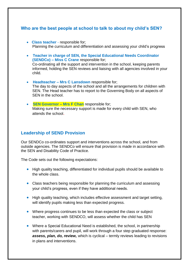#### **Who are the best people at school to talk to about my child's SEN?**

- **Class teacher** responsible for; Planning the curriculum and differentiation and assessing your child's progress
- **Teacher in charge of SEN, the Special Educational Needs Coordinator (SENDCo) – Miss C Crane** responsible for; Co-ordinating all the support and intervention in the school, keeping parents informed, holding the SEN reviews and liaising with all agencies involved in your child.
- **Headteacher – Mrs C Lansdown** responsible for; The day to day aspects of the school and all the arrangements for children with SEN. The Head teacher has to report to the Governing Body on all aspects of SEN in the school.
- **SEN Governor – Mrs F Chan** responsible for; Making sure the necessary support is made for every child with SEN, who attends the school.

#### **Leadership of SEND Provision**

Our SENDCo co-ordinates support and interventions across the school, and from outside agencies. The SENDCo will ensure that provision is made in accordance with the SEN and Disability Code of Practice.

The Code sets out the following expectations:

- High quality teaching, differentiated for individual pupils should be available to the whole class.
- Class teachers being responsible for planning the curriculum and assessing your child's progress, even if they have additional needs.
- High quality teaching, which includes effective assessment and target setting, will identify pupils making less than expected progress.
- Where progress continues to be less than expected the class or subject teacher, working with SENDCO, will assess whether the child has SEN
- Where a Special Educational Need is established, the school, in partnership with parents/carers and pupil, will work through a four step graduated response: *assess, plan, do, review,* which is cyclical – termly reviews leading to revisions in plans and interventions.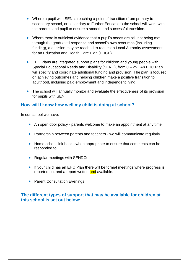- Where a pupil with SEN is reaching a point of transition (from primary to secondary school, or secondary to Further Education) the school will work with the parents and pupil to ensure a smooth and successful transition.
- Where there is sufficient evidence that a pupil's needs are still not being met through the graduated response and school's own resources (including funding), a decision may be reached to request a Local Authority assessment for an Education and Health Care Plan (EHCP).
- EHC Plans are integrated support plans for children and young people with Special Educational Needs and Disability (SEND), from 0 – 25. An EHC Plan will specify and coordinate additional funding and provision. The plan is focused on achieving outcomes and helping children make a positive transition to adulthood, including paid employment and independent living
- The school will annually monitor and evaluate the effectiveness of its provision for pupils with SEN.

#### **How will I know how well my child is doing at school?**

In our school we have:

- An open door policy parents welcome to make an appointment at any time
- Partnership between parents and teachers we will communicate regularly
- Home school link books when appropriate to ensure that comments can be responded to
- Regular meetings with SENDCo
- If your child has an EHC Plan there will be formal meetings where progress is reported on, and a report written and available.
- Parent Consultation Evenings

#### **The different types of support that may be available for children at this school is set out below:**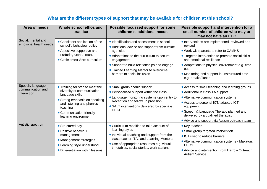| Area of needs                                         | Whole school ethos and<br>practice                                                                                                                                                                              | Possible focussed support for some<br>children's additional needs                                                                                                                                                                                                                        | Possible support and intervention for a<br>small number of children who may or<br>may not have an EHC                                                                                                                                                                                                             |
|-------------------------------------------------------|-----------------------------------------------------------------------------------------------------------------------------------------------------------------------------------------------------------------|------------------------------------------------------------------------------------------------------------------------------------------------------------------------------------------------------------------------------------------------------------------------------------------|-------------------------------------------------------------------------------------------------------------------------------------------------------------------------------------------------------------------------------------------------------------------------------------------------------------------|
| Social, mental and<br>emotional health needs          | • Consistent application of the<br>school's behaviour policy<br>• A positive supportive and<br>nurturing environment<br>• Circle time/PSHE curriculum                                                           | • Identification and assessment in school<br>• Additional advice and support from outside<br>agencies<br>• Adaptations to the curriculum to secure<br>engagement<br>• Support to build relationships and engage<br>• Trained Learning Mentor to overcome<br>barriers to social inclusion | • Interventions are implemented, reviewed and<br>revised<br>• Work with parents to refer to CAMHS<br>• Targeted intervention to promote social skills<br>and emotional resilience<br>• Adaptations to physical environment e.g. time<br>out<br>• Monitoring and support in unstructured time<br>e.g. breaks/lunch |
| Speech, language,<br>communication and<br>interaction | • Training for staff to meet the<br>diversity of communication<br>language skills<br>• Strong emphasis on speaking<br>and listening and phonics<br>teaching<br>• Communication friendly<br>learning environment | • Small group phonic support<br>• Personalised support within the class<br>• Language monitoring systems upon entry to<br>Reception and follow up provision<br>• SALT interventions delivered by specialist<br><b>HLTA</b>                                                               | • Access to small teaching and learning groups<br>• Additional in class TA support<br>• Alternative communication systems<br>• Access to personal ICT/ adapted ICT<br>equipment<br>• Speech & Language Therapy planned and<br>delivered by a qualified therapist<br>• Advice and support via Autism outreach team |
| Autistic spectrum                                     | • Structured day<br>• Positive behaviour<br>management<br>• Management strategies<br>• Learning style understood<br>• Differentiation within lessons                                                            | • Curriculum modified to take account of<br>learning styles<br>• Individual coaching and support from the<br>class teacher, TAs and Learning Mentors<br>• Use of appropriate resources e.g. visual<br>timetables, social stories, work stations                                          | • Key teacher<br>• Small group targeted intervention.<br>• ICT used to reduce barriers<br>• Alternative communication systems - Makaton.<br><b>PECS</b><br>• Advice and intervention from Harrow Outreach<br><b>Autism Service</b>                                                                                |

## **What are the different types of support that may be available for children at this school?**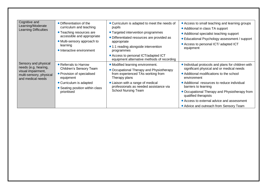| Cognitive and<br>Learning/Moderate<br>Learning Difficulties                                                        | • Differentiation of the<br>curriculum and teaching<br>• Teaching resources are<br>accessible and appropriate<br>• Multi-sensory approach to<br>learning<br>• Interactive environment | • Curriculum is adapted to meet the needs of<br>pupils<br>• Targeted intervention programmes<br>• Differentiated resources are provided as<br>appropriate<br>• 1:1 reading alongside intervention<br>programmes<br>• Access to personal ICT/adapted ICT<br>equipment alternative methods of recording | • Access to small teaching and learning groups<br>• Additional in class TA support<br>• Additional specialist teaching support<br>• Educational Psychology assessment / support<br>• Access to personal ICT/ adapted ICT<br>equipment                                                                                                                                                               |
|--------------------------------------------------------------------------------------------------------------------|---------------------------------------------------------------------------------------------------------------------------------------------------------------------------------------|-------------------------------------------------------------------------------------------------------------------------------------------------------------------------------------------------------------------------------------------------------------------------------------------------------|-----------------------------------------------------------------------------------------------------------------------------------------------------------------------------------------------------------------------------------------------------------------------------------------------------------------------------------------------------------------------------------------------------|
| Sensory and physical<br>needs (e.g. hearing,<br>visual impairment,<br>multi-sensory, physical<br>and medical needs | • Referrals to Harrow<br>Children's Sensory Team<br>• Provision of specialised<br>equipment<br>• Curriculum is adapted<br>• Seating position within class<br>prioritised              | • Modified learning environment.<br>• Occupational Therapy and Physiotherapy<br>from experienced TAs working from<br>Therapy plans<br>• Liaison with a range of medical<br>professionals as needed assistance via<br><b>School Nursing Team</b>                                                       | • Individual protocols and plans for children with<br>significant physical and or medical needs<br>• Additional modifications to the school<br>environment<br>• Additional resources to reduce individual<br>barriers to learning<br>• Occupational Therapy and Physiotherapy from<br>qualified therapists<br>• Access to external advice and assessment<br>• Advice and outreach from Sensory Team |